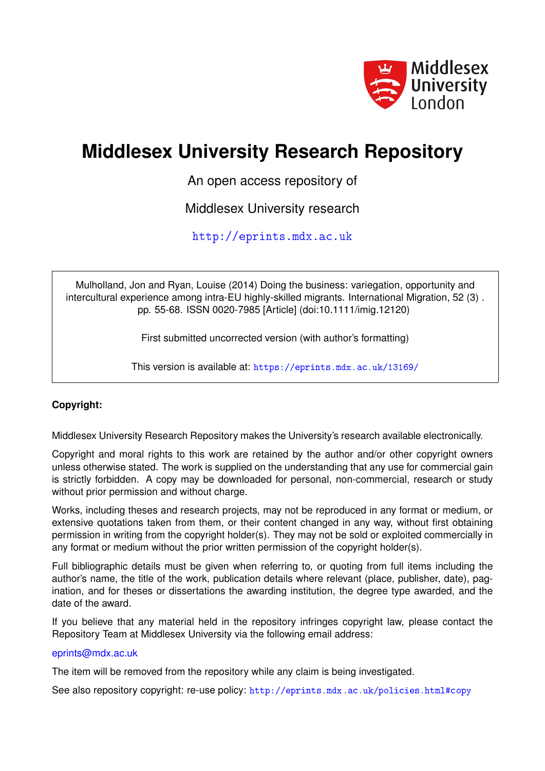

# **Middlesex University Research Repository**

An open access repository of

Middlesex University research

<http://eprints.mdx.ac.uk>

Mulholland, Jon and Ryan, Louise (2014) Doing the business: variegation, opportunity and intercultural experience among intra-EU highly-skilled migrants. International Migration, 52 (3) . pp. 55-68. ISSN 0020-7985 [Article] (doi:10.1111/imig.12120)

First submitted uncorrected version (with author's formatting)

This version is available at: <https://eprints.mdx.ac.uk/13169/>

# **Copyright:**

Middlesex University Research Repository makes the University's research available electronically.

Copyright and moral rights to this work are retained by the author and/or other copyright owners unless otherwise stated. The work is supplied on the understanding that any use for commercial gain is strictly forbidden. A copy may be downloaded for personal, non-commercial, research or study without prior permission and without charge.

Works, including theses and research projects, may not be reproduced in any format or medium, or extensive quotations taken from them, or their content changed in any way, without first obtaining permission in writing from the copyright holder(s). They may not be sold or exploited commercially in any format or medium without the prior written permission of the copyright holder(s).

Full bibliographic details must be given when referring to, or quoting from full items including the author's name, the title of the work, publication details where relevant (place, publisher, date), pagination, and for theses or dissertations the awarding institution, the degree type awarded, and the date of the award.

If you believe that any material held in the repository infringes copyright law, please contact the Repository Team at Middlesex University via the following email address:

#### [eprints@mdx.ac.uk](mailto:eprints@mdx.ac.uk)

The item will be removed from the repository while any claim is being investigated.

See also repository copyright: re-use policy: <http://eprints.mdx.ac.uk/policies.html#copy>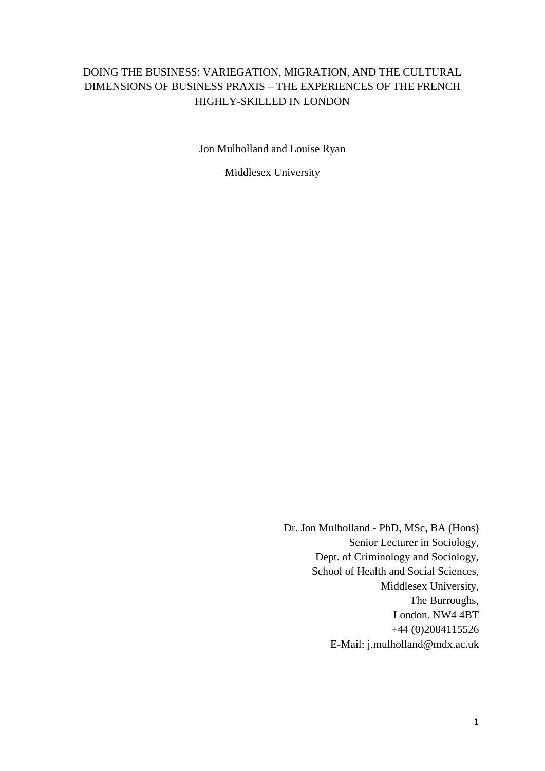# DOING THE BUSINESS: VARIEGATION, MIGRATION, AND THE CULTURAL DIMENSIONS OF BUSINESS PRAXIS – THE EXPERIENCES OF THE FRENCH HIGHLY-SKILLED IN LONDON

Jon Mulholland and Louise Ryan

Middlesex University

Dr. Jon Mulholland - PhD, MSc, BA (Hons) Senior Lecturer in Sociology, Dept. of Criminology and Sociology, School of Health and Social Sciences, Middlesex University, The Burroughs, London. NW4 4BT +44 (0)2084115526 E-Mail: j.mulholland@mdx.ac.uk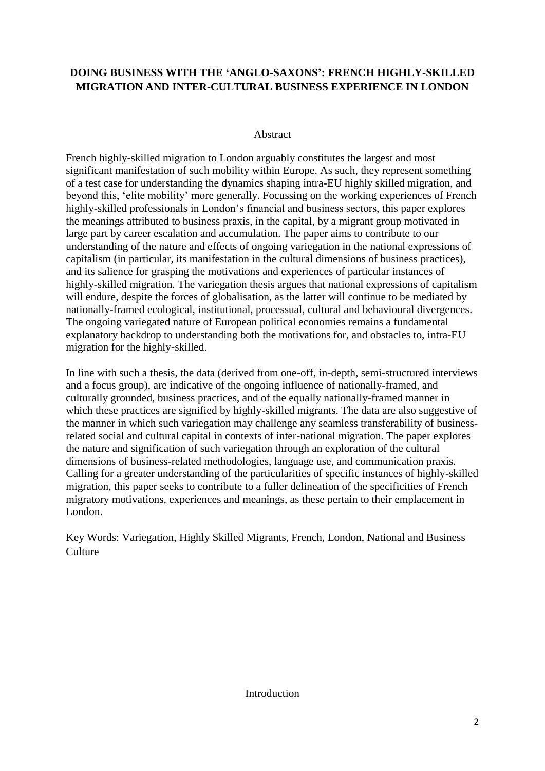# **DOING BUSINESS WITH THE 'ANGLO-SAXONS': FRENCH HIGHLY-SKILLED MIGRATION AND INTER-CULTURAL BUSINESS EXPERIENCE IN LONDON**

# Abstract

French highly-skilled migration to London arguably constitutes the largest and most significant manifestation of such mobility within Europe. As such, they represent something of a test case for understanding the dynamics shaping intra-EU highly skilled migration, and beyond this, "elite mobility" more generally. Focussing on the working experiences of French highly-skilled professionals in London"s financial and business sectors, this paper explores the meanings attributed to business praxis, in the capital, by a migrant group motivated in large part by career escalation and accumulation. The paper aims to contribute to our understanding of the nature and effects of ongoing variegation in the national expressions of capitalism (in particular, its manifestation in the cultural dimensions of business practices), and its salience for grasping the motivations and experiences of particular instances of highly-skilled migration. The variegation thesis argues that national expressions of capitalism will endure, despite the forces of globalisation, as the latter will continue to be mediated by nationally-framed ecological, institutional, processual, cultural and behavioural divergences. The ongoing variegated nature of European political economies remains a fundamental explanatory backdrop to understanding both the motivations for, and obstacles to, intra-EU migration for the highly-skilled.

In line with such a thesis, the data (derived from one-off, in-depth, semi-structured interviews and a focus group), are indicative of the ongoing influence of nationally-framed, and culturally grounded, business practices, and of the equally nationally-framed manner in which these practices are signified by highly-skilled migrants. The data are also suggestive of the manner in which such variegation may challenge any seamless transferability of businessrelated social and cultural capital in contexts of inter-national migration. The paper explores the nature and signification of such variegation through an exploration of the cultural dimensions of business-related methodologies, language use, and communication praxis. Calling for a greater understanding of the particularities of specific instances of highly-skilled migration, this paper seeks to contribute to a fuller delineation of the specificities of French migratory motivations, experiences and meanings, as these pertain to their emplacement in London.

Key Words: Variegation, Highly Skilled Migrants, French, London, National and Business Culture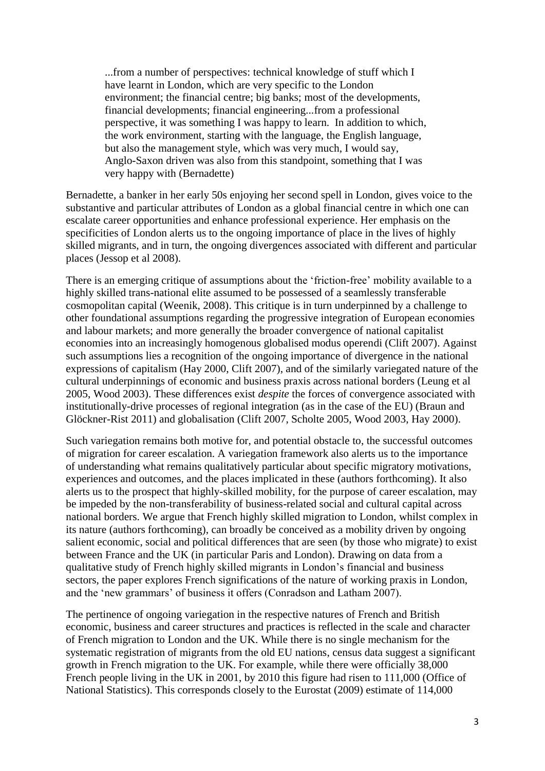...from a number of perspectives: technical knowledge of stuff which I have learnt in London, which are very specific to the London environment; the financial centre; big banks; most of the developments, financial developments; financial engineering...from a professional perspective, it was something I was happy to learn. In addition to which, the work environment, starting with the language, the English language, but also the management style, which was very much, I would say, Anglo-Saxon driven was also from this standpoint, something that I was very happy with (Bernadette)

Bernadette, a banker in her early 50s enjoying her second spell in London, gives voice to the substantive and particular attributes of London as a global financial centre in which one can escalate career opportunities and enhance professional experience. Her emphasis on the specificities of London alerts us to the ongoing importance of place in the lives of highly skilled migrants, and in turn, the ongoing divergences associated with different and particular places (Jessop et al 2008).

There is an emerging critique of assumptions about the 'friction-free' mobility available to a highly skilled trans-national elite assumed to be possessed of a seamlessly transferable cosmopolitan capital (Weenik, 2008). This critique is in turn underpinned by a challenge to other foundational assumptions regarding the progressive integration of European economies and labour markets; and more generally the broader convergence of national capitalist economies into an increasingly homogenous globalised modus operendi (Clift 2007). Against such assumptions lies a recognition of the ongoing importance of divergence in the national expressions of capitalism (Hay 2000, Clift 2007), and of the similarly variegated nature of the cultural underpinnings of economic and business praxis across national borders (Leung et al 2005, Wood 2003). These differences exist *despite* the forces of convergence associated with institutionally-drive processes of regional integration (as in the case of the EU) (Braun and Glöckner-Rist 2011) and globalisation (Clift 2007, Scholte 2005, Wood 2003, Hay 2000).

Such variegation remains both motive for, and potential obstacle to, the successful outcomes of migration for career escalation. A variegation framework also alerts us to the importance of understanding what remains qualitatively particular about specific migratory motivations, experiences and outcomes, and the places implicated in these (authors forthcoming). It also alerts us to the prospect that highly-skilled mobility, for the purpose of career escalation, may be impeded by the non-transferability of business-related social and cultural capital across national borders. We argue that French highly skilled migration to London, whilst complex in its nature (authors forthcoming), can broadly be conceived as a mobility driven by ongoing salient economic, social and political differences that are seen (by those who migrate) to exist between France and the UK (in particular Paris and London). Drawing on data from a qualitative study of French highly skilled migrants in London"s financial and business sectors, the paper explores French significations of the nature of working praxis in London, and the "new grammars" of business it offers (Conradson and Latham 2007).

The pertinence of ongoing variegation in the respective natures of French and British economic, business and career structures and practices is reflected in the scale and character of French migration to London and the UK. While there is no single mechanism for the systematic registration of migrants from the old EU nations, census data suggest a significant growth in French migration to the UK. For example, while there were officially 38,000 French people living in the UK in 2001, by 2010 this figure had risen to 111,000 (Office of National Statistics). This corresponds closely to the Eurostat (2009) estimate of 114,000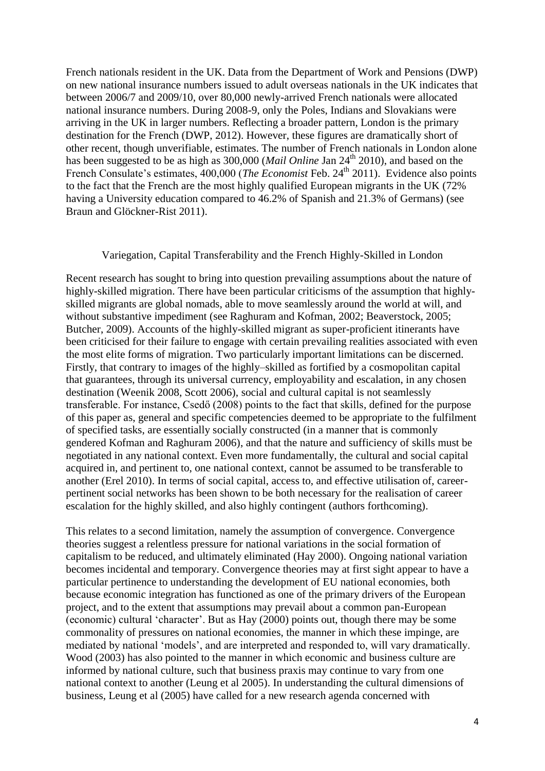French nationals resident in the UK. Data from the Department of Work and Pensions (DWP) on new national insurance numbers issued to adult overseas nationals in the UK indicates that between 2006/7 and 2009/10, over 80,000 newly-arrived French nationals were allocated national insurance numbers. During 2008-9, only the Poles, Indians and Slovakians were arriving in the UK in larger numbers. Reflecting a broader pattern, London is the primary destination for the French (DWP, 2012). However, these figures are dramatically short of other recent, though unverifiable, estimates. The number of French nationals in London alone has been suggested to be as high as 300,000 (*Mail Online Jan* 24<sup>th</sup> 2010), and based on the French Consulate's estimates, 400,000 (*The Economist* Feb. 24<sup>th</sup> 2011). Evidence also points to the fact that the French are the most highly qualified European migrants in the UK (72% having a University education compared to 46.2% of Spanish and 21.3% of Germans) (see Braun and Glöckner-Rist 2011).

#### Variegation, Capital Transferability and the French Highly-Skilled in London

Recent research has sought to bring into question prevailing assumptions about the nature of highly-skilled migration. There have been particular criticisms of the assumption that highlyskilled migrants are global nomads, able to move seamlessly around the world at will, and without substantive impediment (see Raghuram and Kofman, 2002; Beaverstock, 2005; Butcher, 2009). Accounts of the highly-skilled migrant as super-proficient itinerants have been criticised for their failure to engage with certain prevailing realities associated with even the most elite forms of migration. Two particularly important limitations can be discerned. Firstly, that contrary to images of the highly–skilled as fortified by a cosmopolitan capital that guarantees, through its universal currency, employability and escalation, in any chosen destination (Weenik 2008, Scott 2006), social and cultural capital is not seamlessly transferable. For instance, Csedő (2008) points to the fact that skills, defined for the purpose of this paper as, general and specific competencies deemed to be appropriate to the fulfilment of specified tasks, are essentially socially constructed (in a manner that is commonly gendered Kofman and Raghuram 2006), and that the nature and sufficiency of skills must be negotiated in any national context. Even more fundamentally, the cultural and social capital acquired in, and pertinent to, one national context, cannot be assumed to be transferable to another (Erel 2010). In terms of social capital, access to, and effective utilisation of, careerpertinent social networks has been shown to be both necessary for the realisation of career escalation for the highly skilled, and also highly contingent (authors forthcoming).

This relates to a second limitation, namely the assumption of convergence. Convergence theories suggest a relentless pressure for national variations in the social formation of capitalism to be reduced, and ultimately eliminated (Hay 2000). Ongoing national variation becomes incidental and temporary. Convergence theories may at first sight appear to have a particular pertinence to understanding the development of EU national economies, both because economic integration has functioned as one of the primary drivers of the European project, and to the extent that assumptions may prevail about a common pan-European (economic) cultural "character". But as Hay (2000) points out, though there may be some commonality of pressures on national economies, the manner in which these impinge, are mediated by national "models", and are interpreted and responded to, will vary dramatically. Wood (2003) has also pointed to the manner in which economic and business culture are informed by national culture, such that business praxis may continue to vary from one national context to another (Leung et al 2005). In understanding the cultural dimensions of business, Leung et al (2005) have called for a new research agenda concerned with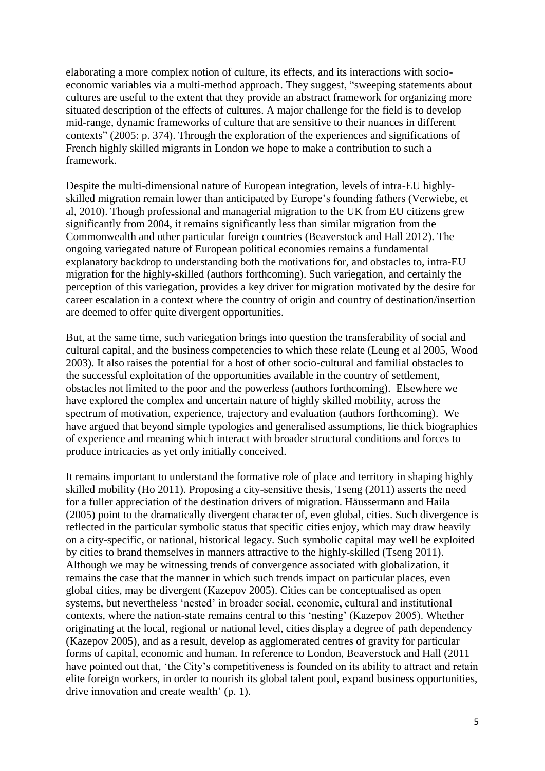elaborating a more complex notion of culture, its effects, and its interactions with socioeconomic variables via a multi-method approach. They suggest, "sweeping statements about cultures are useful to the extent that they provide an abstract framework for organizing more situated description of the effects of cultures. A major challenge for the field is to develop mid-range, dynamic frameworks of culture that are sensitive to their nuances in different contexts" (2005: p. 374). Through the exploration of the experiences and significations of French highly skilled migrants in London we hope to make a contribution to such a framework.

Despite the multi-dimensional nature of European integration, levels of intra-EU highlyskilled migration remain lower than anticipated by Europe"s founding fathers (Verwiebe, et al, 2010). Though professional and managerial migration to the UK from EU citizens grew significantly from 2004, it remains significantly less than similar migration from the Commonwealth and other particular foreign countries (Beaverstock and Hall 2012). The ongoing variegated nature of European political economies remains a fundamental explanatory backdrop to understanding both the motivations for, and obstacles to, intra-EU migration for the highly-skilled (authors forthcoming). Such variegation, and certainly the perception of this variegation, provides a key driver for migration motivated by the desire for career escalation in a context where the country of origin and country of destination/insertion are deemed to offer quite divergent opportunities.

But, at the same time, such variegation brings into question the transferability of social and cultural capital, and the business competencies to which these relate (Leung et al 2005, Wood 2003). It also raises the potential for a host of other socio-cultural and familial obstacles to the successful exploitation of the opportunities available in the country of settlement, obstacles not limited to the poor and the powerless (authors forthcoming). Elsewhere we have explored the complex and uncertain nature of highly skilled mobility, across the spectrum of motivation, experience, trajectory and evaluation (authors forthcoming). We have argued that beyond simple typologies and generalised assumptions, lie thick biographies of experience and meaning which interact with broader structural conditions and forces to produce intricacies as yet only initially conceived.

It remains important to understand the formative role of place and territory in shaping highly skilled mobility (Ho 2011). Proposing a city-sensitive thesis, Tseng (2011) asserts the need for a fuller appreciation of the destination drivers of migration. Häussermann and Haila (2005) point to the dramatically divergent character of, even global, cities. Such divergence is reflected in the particular symbolic status that specific cities enjoy, which may draw heavily on a city-specific, or national, historical legacy. Such symbolic capital may well be exploited by cities to brand themselves in manners attractive to the highly-skilled (Tseng 2011). Although we may be witnessing trends of convergence associated with globalization, it remains the case that the manner in which such trends impact on particular places, even global cities, may be divergent (Kazepov 2005). Cities can be conceptualised as open systems, but nevertheless 'nested' in broader social, economic, cultural and institutional contexts, where the nation-state remains central to this "nesting" (Kazepov 2005). Whether originating at the local, regional or national level, cities display a degree of path dependency (Kazepov 2005), and as a result, develop as agglomerated centres of gravity for particular forms of capital, economic and human. In reference to London, Beaverstock and Hall (2011 have pointed out that, 'the City's competitiveness is founded on its ability to attract and retain elite foreign workers, in order to nourish its global talent pool, expand business opportunities, drive innovation and create wealth" (p. 1).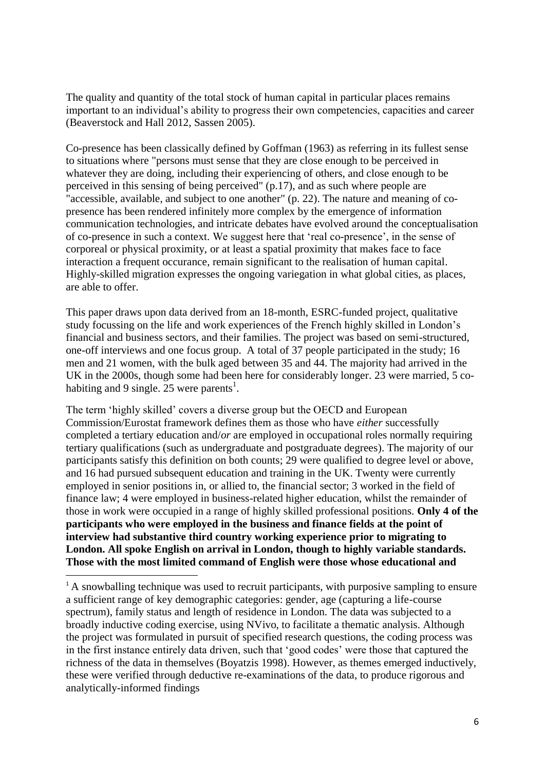The quality and quantity of the total stock of human capital in particular places remains important to an individual"s ability to progress their own competencies, capacities and career (Beaverstock and Hall 2012, Sassen 2005).

Co-presence has been classically defined by Goffman (1963) as referring in its fullest sense to situations where "persons must sense that they are close enough to be perceived in whatever they are doing, including their experiencing of others, and close enough to be perceived in this sensing of being perceived" (p.17), and as such where people are "accessible, available, and subject to one another" (p. 22). The nature and meaning of copresence has been rendered infinitely more complex by the emergence of information communication technologies, and intricate debates have evolved around the conceptualisation of co-presence in such a context. We suggest here that "real co-presence", in the sense of corporeal or physical proximity, or at least a spatial proximity that makes face to face interaction a frequent occurance, remain significant to the realisation of human capital. Highly-skilled migration expresses the ongoing variegation in what global cities, as places, are able to offer.

This paper draws upon data derived from an 18-month, ESRC-funded project, qualitative study focussing on the life and work experiences of the French highly skilled in London"s financial and business sectors, and their families. The project was based on semi-structured, one-off interviews and one focus group. A total of 37 people participated in the study; 16 men and 21 women, with the bulk aged between 35 and 44. The majority had arrived in the UK in the 2000s, though some had been here for considerably longer. 23 were married, 5 cohabiting and 9 single. 25 were parents<sup>1</sup>.

The term "highly skilled" covers a diverse group but the OECD and European Commission/Eurostat framework defines them as those who have *either* successfully completed a tertiary education and/*or* are employed in occupational roles normally requiring tertiary qualifications (such as undergraduate and postgraduate degrees). The majority of our participants satisfy this definition on both counts; 29 were qualified to degree level or above, and 16 had pursued subsequent education and training in the UK. Twenty were currently employed in senior positions in, or allied to, the financial sector; 3 worked in the field of finance law; 4 were employed in business-related higher education, whilst the remainder of those in work were occupied in a range of highly skilled professional positions. **Only 4 of the participants who were employed in the business and finance fields at the point of interview had substantive third country working experience prior to migrating to London. All spoke English on arrival in London, though to highly variable standards. Those with the most limited command of English were those whose educational and** 

**.** 

 $1$ <sup>1</sup> A snowballing technique was used to recruit participants, with purposive sampling to ensure a sufficient range of key demographic categories: gender, age (capturing a life-course spectrum), family status and length of residence in London. The data was subjected to a broadly inductive coding exercise, using NVivo, to facilitate a thematic analysis. Although the project was formulated in pursuit of specified research questions, the coding process was in the first instance entirely data driven, such that "good codes" were those that captured the richness of the data in themselves (Boyatzis 1998). However, as themes emerged inductively, these were verified through deductive re-examinations of the data, to produce rigorous and analytically-informed findings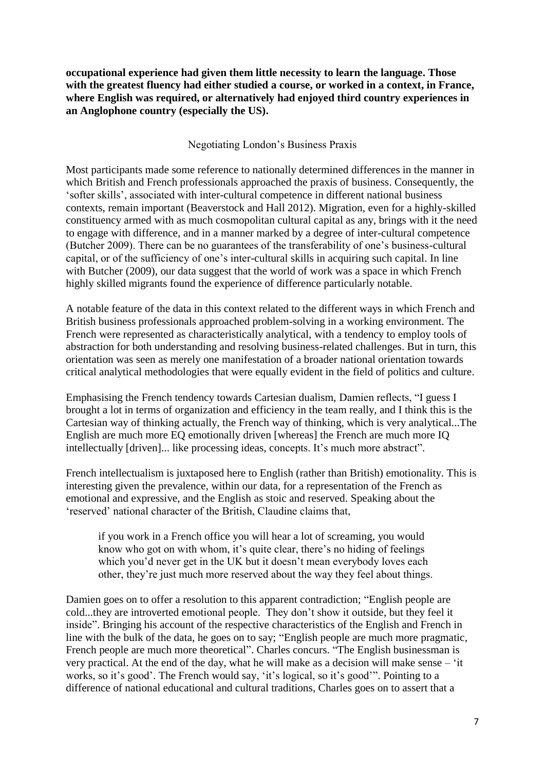**occupational experience had given them little necessity to learn the language. Those with the greatest fluency had either studied a course, or worked in a context, in France, where English was required, or alternatively had enjoyed third country experiences in an Anglophone country (especially the US).** 

#### Negotiating London"s Business Praxis

Most participants made some reference to nationally determined differences in the manner in which British and French professionals approached the praxis of business. Consequently, the "softer skills", associated with inter-cultural competence in different national business contexts, remain important (Beaverstock and Hall 2012). Migration, even for a highly-skilled constituency armed with as much cosmopolitan cultural capital as any, brings with it the need to engage with difference, and in a manner marked by a degree of inter-cultural competence (Butcher 2009). There can be no guarantees of the transferability of one"s business-cultural capital, or of the sufficiency of one"s inter-cultural skills in acquiring such capital. In line with Butcher (2009), our data suggest that the world of work was a space in which French highly skilled migrants found the experience of difference particularly notable.

A notable feature of the data in this context related to the different ways in which French and British business professionals approached problem-solving in a working environment. The French were represented as characteristically analytical, with a tendency to employ tools of abstraction for both understanding and resolving business-related challenges. But in turn, this orientation was seen as merely one manifestation of a broader national orientation towards critical analytical methodologies that were equally evident in the field of politics and culture.

Emphasising the French tendency towards Cartesian dualism, Damien reflects, "I guess I brought a lot in terms of organization and efficiency in the team really, and I think this is the Cartesian way of thinking actually, the French way of thinking, which is very analytical...The English are much more EQ emotionally driven [whereas] the French are much more IQ intellectually [driven]... like processing ideas, concepts. It's much more abstract".

French intellectualism is juxtaposed here to English (rather than British) emotionality. This is interesting given the prevalence, within our data, for a representation of the French as emotional and expressive, and the English as stoic and reserved. Speaking about the 'reserved' national character of the British, Claudine claims that,

if you work in a French office you will hear a lot of screaming, you would know who got on with whom, it's quite clear, there's no hiding of feelings which you'd never get in the UK but it doesn't mean everybody loves each other, they"re just much more reserved about the way they feel about things.

Damien goes on to offer a resolution to this apparent contradiction; "English people are cold...they are introverted emotional people. They don"t show it outside, but they feel it inside". Bringing his account of the respective characteristics of the English and French in line with the bulk of the data, he goes on to say; "English people are much more pragmatic, French people are much more theoretical". Charles concurs. "The English businessman is very practical. At the end of the day, what he will make as a decision will make sense – "it works, so it's good'. The French would say, 'it's logical, so it's good'". Pointing to a difference of national educational and cultural traditions, Charles goes on to assert that a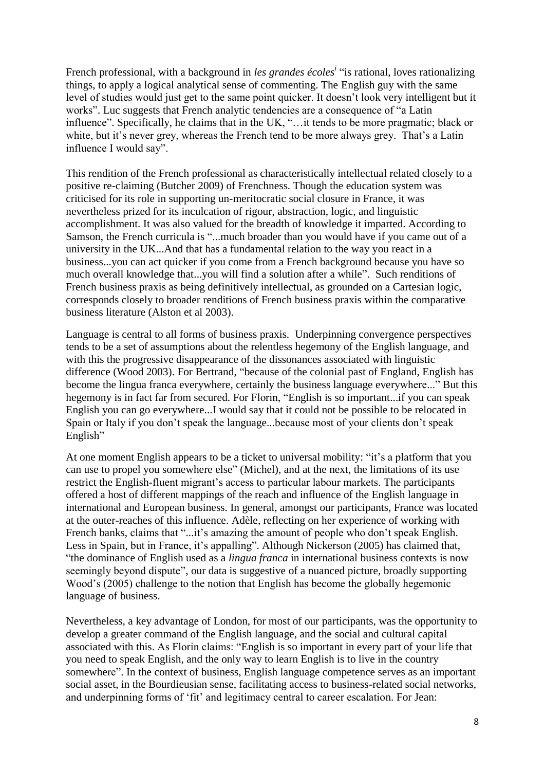French professional, with a background in *les grandes écoles<sup>i*</sup> "is rational, loves rationalizing things, to apply a logical analytical sense of commenting. The English guy with the same level of studies would just get to the same point quicker. It doesn"t look very intelligent but it works". Luc suggests that French analytic tendencies are a consequence of "a Latin influence". Specifically, he claims that in the UK, "…it tends to be more pragmatic; black or white, but it's never grey, whereas the French tend to be more always grey. That's a Latin influence I would say".

This rendition of the French professional as characteristically intellectual related closely to a positive re-claiming (Butcher 2009) of Frenchness. Though the education system was criticised for its role in supporting un-meritocratic social closure in France, it was nevertheless prized for its inculcation of rigour, abstraction, logic, and linguistic accomplishment. It was also valued for the breadth of knowledge it imparted. According to Samson, the French curricula is "...much broader than you would have if you came out of a university in the UK...And that has a fundamental relation to the way you react in a business...you can act quicker if you come from a French background because you have so much overall knowledge that...you will find a solution after a while". Such renditions of French business praxis as being definitively intellectual, as grounded on a Cartesian logic, corresponds closely to broader renditions of French business praxis within the comparative business literature (Alston et al 2003).

Language is central to all forms of business praxis. Underpinning convergence perspectives tends to be a set of assumptions about the relentless hegemony of the English language, and with this the progressive disappearance of the dissonances associated with linguistic difference (Wood 2003). For Bertrand, "because of the colonial past of England, English has become the lingua franca everywhere, certainly the business language everywhere..." But this hegemony is in fact far from secured. For Florin, "English is so important...if you can speak English you can go everywhere...I would say that it could not be possible to be relocated in Spain or Italy if you don"t speak the language...because most of your clients don"t speak English"

At one moment English appears to be a ticket to universal mobility: "it's a platform that you can use to propel you somewhere else" (Michel), and at the next, the limitations of its use restrict the English-fluent migrant's access to particular labour markets. The participants offered a host of different mappings of the reach and influence of the English language in international and European business. In general, amongst our participants, France was located at the outer-reaches of this influence. Adèle, reflecting on her experience of working with French banks, claims that "...it's amazing the amount of people who don't speak English. Less in Spain, but in France, it's appalling". Although Nickerson (2005) has claimed that, "the dominance of English used as a *lingua franca* in international business contexts is now seemingly beyond dispute", our data is suggestive of a nuanced picture, broadly supporting Wood"s (2005) challenge to the notion that English has become the globally hegemonic language of business.

Nevertheless, a key advantage of London, for most of our participants, was the opportunity to develop a greater command of the English language, and the social and cultural capital associated with this. As Florin claims: "English is so important in every part of your life that you need to speak English, and the only way to learn English is to live in the country somewhere". In the context of business, English language competence serves as an important social asset, in the Bourdieusian sense, facilitating access to business-related social networks, and underpinning forms of 'fit' and legitimacy central to career escalation. For Jean: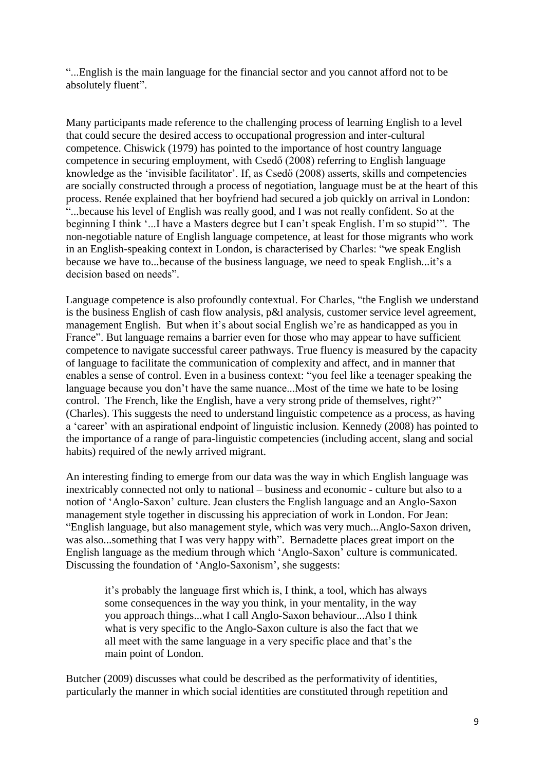"...English is the main language for the financial sector and you cannot afford not to be absolutely fluent".

Many participants made reference to the challenging process of learning English to a level that could secure the desired access to occupational progression and inter-cultural competence. Chiswick (1979) has pointed to the importance of host country language competence in securing employment, with Csedő (2008) referring to English language knowledge as the 'invisible facilitator'. If, as Csedő (2008) asserts, skills and competencies are socially constructed through a process of negotiation, language must be at the heart of this process. Renée explained that her boyfriend had secured a job quickly on arrival in London: "...because his level of English was really good, and I was not really confident. So at the beginning I think "...I have a Masters degree but I can"t speak English. I"m so stupid"". The non-negotiable nature of English language competence, at least for those migrants who work in an English-speaking context in London, is characterised by Charles: "we speak English because we have to...because of the business language, we need to speak English...it's a decision based on needs".

Language competence is also profoundly contextual. For Charles, "the English we understand is the business English of cash flow analysis, p&l analysis, customer service level agreement, management English. But when it's about social English we're as handicapped as you in France". But language remains a barrier even for those who may appear to have sufficient competence to navigate successful career pathways. True fluency is measured by the capacity of language to facilitate the communication of complexity and affect, and in manner that enables a sense of control. Even in a business context: "you feel like a teenager speaking the language because you don't have the same nuance...Most of the time we hate to be losing control. The French, like the English, have a very strong pride of themselves, right?" (Charles). This suggests the need to understand linguistic competence as a process, as having a "career" with an aspirational endpoint of linguistic inclusion. Kennedy (2008) has pointed to the importance of a range of para-linguistic competencies (including accent, slang and social habits) required of the newly arrived migrant.

An interesting finding to emerge from our data was the way in which English language was inextricably connected not only to national – business and economic - culture but also to a notion of "Anglo-Saxon" culture. Jean clusters the English language and an Anglo-Saxon management style together in discussing his appreciation of work in London. For Jean: "English language, but also management style, which was very much...Anglo-Saxon driven, was also...something that I was very happy with". Bernadette places great import on the English language as the medium through which "Anglo-Saxon" culture is communicated. Discussing the foundation of 'Anglo-Saxonism', she suggests:

it"s probably the language first which is, I think, a tool, which has always some consequences in the way you think, in your mentality, in the way you approach things...what I call Anglo-Saxon behaviour...Also I think what is very specific to the Anglo-Saxon culture is also the fact that we all meet with the same language in a very specific place and that"s the main point of London.

Butcher (2009) discusses what could be described as the performativity of identities, particularly the manner in which social identities are constituted through repetition and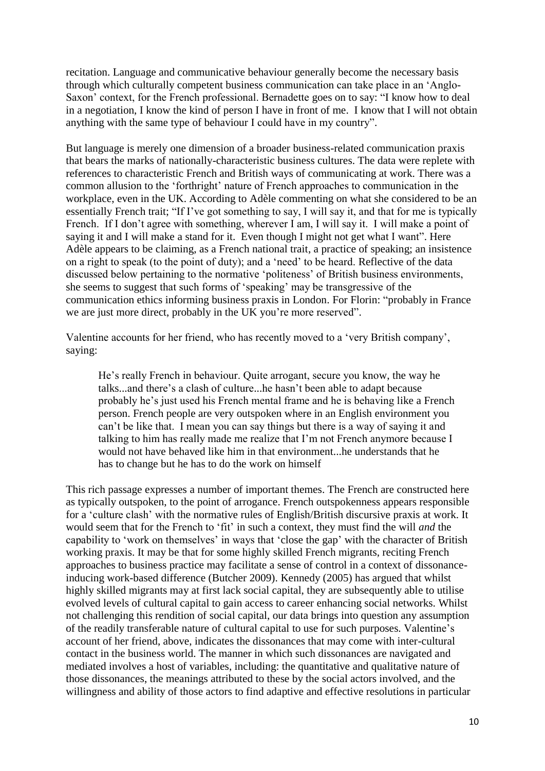recitation. Language and communicative behaviour generally become the necessary basis through which culturally competent business communication can take place in an "Anglo-Saxon' context, for the French professional. Bernadette goes on to say: "I know how to deal in a negotiation, I know the kind of person I have in front of me. I know that I will not obtain anything with the same type of behaviour I could have in my country".

But language is merely one dimension of a broader business-related communication praxis that bears the marks of nationally-characteristic business cultures. The data were replete with references to characteristic French and British ways of communicating at work. There was a common allusion to the "forthright" nature of French approaches to communication in the workplace, even in the UK. According to Adèle commenting on what she considered to be an essentially French trait; "If I've got something to say, I will say it, and that for me is typically French. If I don't agree with something, wherever I am, I will say it. I will make a point of saying it and I will make a stand for it. Even though I might not get what I want". Here Adèle appears to be claiming, as a French national trait, a practice of speaking; an insistence on a right to speak (to the point of duty); and a "need" to be heard. Reflective of the data discussed below pertaining to the normative "politeness" of British business environments, she seems to suggest that such forms of "speaking" may be transgressive of the communication ethics informing business praxis in London. For Florin: "probably in France we are just more direct, probably in the UK you"re more reserved".

Valentine accounts for her friend, who has recently moved to a "very British company", saying:

He"s really French in behaviour. Quite arrogant, secure you know, the way he talks...and there"s a clash of culture...he hasn"t been able to adapt because probably he"s just used his French mental frame and he is behaving like a French person. French people are very outspoken where in an English environment you can"t be like that. I mean you can say things but there is a way of saying it and talking to him has really made me realize that I"m not French anymore because I would not have behaved like him in that environment...he understands that he has to change but he has to do the work on himself

This rich passage expresses a number of important themes. The French are constructed here as typically outspoken, to the point of arrogance. French outspokenness appears responsible for a "culture clash" with the normative rules of English/British discursive praxis at work. It would seem that for the French to "fit" in such a context, they must find the will *and* the capability to 'work on themselves' in ways that 'close the gap' with the character of British working praxis. It may be that for some highly skilled French migrants, reciting French approaches to business practice may facilitate a sense of control in a context of dissonanceinducing work-based difference (Butcher 2009). Kennedy (2005) has argued that whilst highly skilled migrants may at first lack social capital, they are subsequently able to utilise evolved levels of cultural capital to gain access to career enhancing social networks. Whilst not challenging this rendition of social capital, our data brings into question any assumption of the readily transferable nature of cultural capital to use for such purposes. Valentine"s account of her friend, above, indicates the dissonances that may come with inter-cultural contact in the business world. The manner in which such dissonances are navigated and mediated involves a host of variables, including: the quantitative and qualitative nature of those dissonances, the meanings attributed to these by the social actors involved, and the willingness and ability of those actors to find adaptive and effective resolutions in particular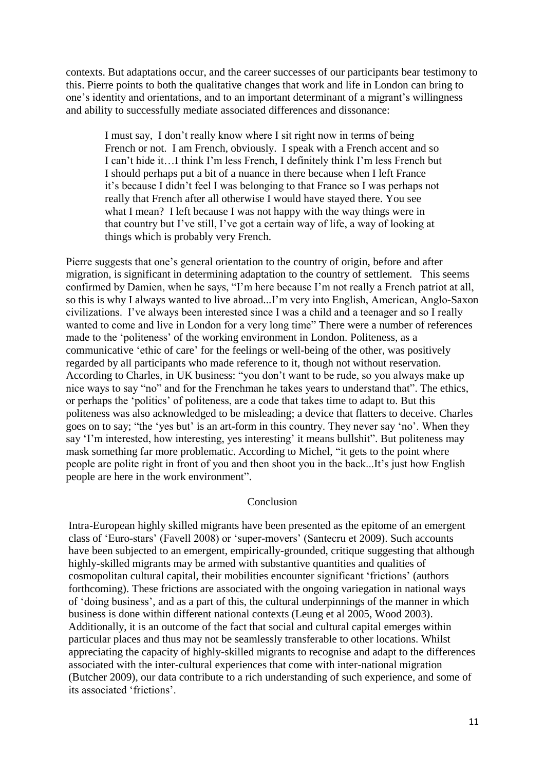contexts. But adaptations occur, and the career successes of our participants bear testimony to this. Pierre points to both the qualitative changes that work and life in London can bring to one's identity and orientations, and to an important determinant of a migrant's willingness and ability to successfully mediate associated differences and dissonance:

I must say, I don"t really know where I sit right now in terms of being French or not. I am French, obviously. I speak with a French accent and so I can"t hide it…I think I"m less French, I definitely think I"m less French but I should perhaps put a bit of a nuance in there because when I left France it"s because I didn"t feel I was belonging to that France so I was perhaps not really that French after all otherwise I would have stayed there. You see what I mean? I left because I was not happy with the way things were in that country but I"ve still, I"ve got a certain way of life, a way of looking at things which is probably very French.

Pierre suggests that one"s general orientation to the country of origin, before and after migration, is significant in determining adaptation to the country of settlement. This seems confirmed by Damien, when he says, "I'm here because I'm not really a French patriot at all, so this is why I always wanted to live abroad...I"m very into English, American, Anglo-Saxon civilizations. I"ve always been interested since I was a child and a teenager and so I really wanted to come and live in London for a very long time" There were a number of references made to the 'politeness' of the working environment in London. Politeness, as a communicative "ethic of care" for the feelings or well-being of the other, was positively regarded by all participants who made reference to it, though not without reservation. According to Charles, in UK business: "you don"t want to be rude, so you always make up nice ways to say "no" and for the Frenchman he takes years to understand that". The ethics, or perhaps the "politics" of politeness, are a code that takes time to adapt to. But this politeness was also acknowledged to be misleading; a device that flatters to deceive. Charles goes on to say; "the 'yes but' is an art-form in this country. They never say 'no'. When they say 'I'm interested, how interesting, yes interesting' it means bullshit". But politeness may mask something far more problematic. According to Michel, "it gets to the point where people are polite right in front of you and then shoot you in the back...It's just how English people are here in the work environment".

#### Conclusion

Intra-European highly skilled migrants have been presented as the epitome of an emergent class of "Euro-stars" (Favell 2008) or "super-movers" (Santecru et 2009). Such accounts have been subjected to an emergent, empirically-grounded, critique suggesting that although highly-skilled migrants may be armed with substantive quantities and qualities of cosmopolitan cultural capital, their mobilities encounter significant "frictions" (authors forthcoming). These frictions are associated with the ongoing variegation in national ways of "doing business", and as a part of this, the cultural underpinnings of the manner in which business is done within different national contexts (Leung et al 2005, Wood 2003). Additionally, it is an outcome of the fact that social and cultural capital emerges within particular places and thus may not be seamlessly transferable to other locations. Whilst appreciating the capacity of highly-skilled migrants to recognise and adapt to the differences associated with the inter-cultural experiences that come with inter-national migration (Butcher 2009), our data contribute to a rich understanding of such experience, and some of its associated "frictions".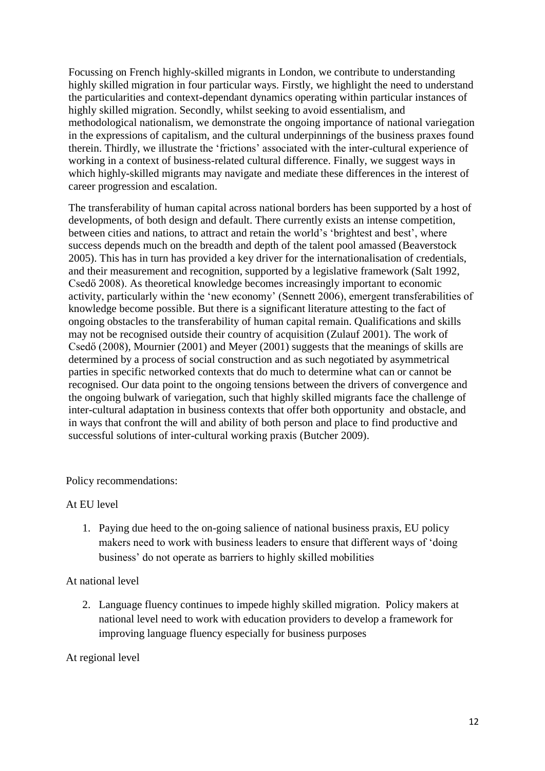Focussing on French highly-skilled migrants in London, we contribute to understanding highly skilled migration in four particular ways. Firstly, we highlight the need to understand the particularities and context-dependant dynamics operating within particular instances of highly skilled migration. Secondly, whilst seeking to avoid essentialism, and methodological nationalism, we demonstrate the ongoing importance of national variegation in the expressions of capitalism, and the cultural underpinnings of the business praxes found therein. Thirdly, we illustrate the "frictions" associated with the inter-cultural experience of working in a context of business-related cultural difference. Finally, we suggest ways in which highly-skilled migrants may navigate and mediate these differences in the interest of career progression and escalation.

The transferability of human capital across national borders has been supported by a host of developments, of both design and default. There currently exists an intense competition, between cities and nations, to attract and retain the world's 'brightest and best', where success depends much on the breadth and depth of the talent pool amassed (Beaverstock 2005). This has in turn has provided a key driver for the internationalisation of credentials, and their measurement and recognition, supported by a legislative framework (Salt 1992, Csedő 2008). As theoretical knowledge becomes increasingly important to economic activity, particularly within the "new economy" (Sennett 2006), emergent transferabilities of knowledge become possible. But there is a significant literature attesting to the fact of ongoing obstacles to the transferability of human capital remain. Qualifications and skills may not be recognised outside their country of acquisition (Zulauf 2001). The work of Csedő (2008), Mournier (2001) and Meyer (2001) suggests that the meanings of skills are determined by a process of social construction and as such negotiated by asymmetrical parties in specific networked contexts that do much to determine what can or cannot be recognised. Our data point to the ongoing tensions between the drivers of convergence and the ongoing bulwark of variegation, such that highly skilled migrants face the challenge of inter-cultural adaptation in business contexts that offer both opportunity and obstacle, and in ways that confront the will and ability of both person and place to find productive and successful solutions of inter-cultural working praxis (Butcher 2009).

#### Policy recommendations:

#### At EU level

1. Paying due heed to the on-going salience of national business praxis, EU policy makers need to work with business leaders to ensure that different ways of "doing business" do not operate as barriers to highly skilled mobilities

# At national level

2. Language fluency continues to impede highly skilled migration. Policy makers at national level need to work with education providers to develop a framework for improving language fluency especially for business purposes

# At regional level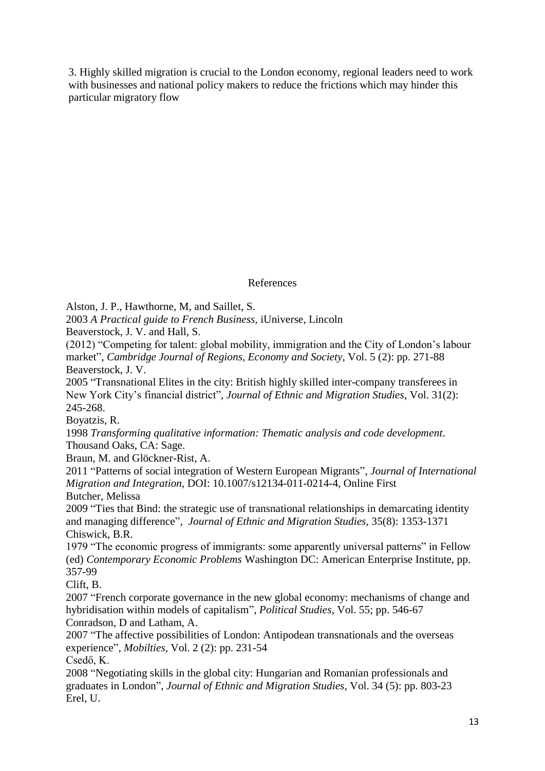3. Highly skilled migration is crucial to the London economy, regional leaders need to work with businesses and national policy makers to reduce the frictions which may hinder this particular migratory flow

# References

Alston, J. P., Hawthorne, M, and Saillet, S.

2003 *A Practical guide to French Business,* iUniverse, Lincoln

Beaverstock, J. V. and Hall, S.

(2012) "Competing for talent: global mobility, immigration and the City of London"s labour market", *Cambridge Journal of Regions, Economy and Society,* Vol. 5 (2): pp. 271-88 Beaverstock, J. V.

2005 "Transnational Elites in the city: British highly skilled inter-company transferees in New York City"s financial district", *Journal of Ethnic and Migration Studies*, Vol. 31(2): 245-268.

Boyatzis, R.

1998 *Transforming qualitative information: Thematic analysis and code development*. Thousand Oaks, CA: Sage.

Braun, M. and Glöckner-Rist, A.

2011 "Patterns of social integration of Western European Migrants", *Journal of International Migration and Integration,* DOI: 10.1007/s12134-011-0214-4, Online First Butcher, Melissa

2009 "Ties that Bind: the strategic use of transnational relationships in demarcating identity and managing difference", *Journal of Ethnic and Migration Studies*, 35(8): 1353-1371 Chiswick, B.R.

1979 "The economic progress of immigrants: some apparently universal patterns" in Fellow (ed) *Contemporary Economic Problems* Washington DC: American Enterprise Institute, pp. 357-99

Clift, B.

2007 "French corporate governance in the new global economy: mechanisms of change and hybridisation within models of capitalism", *Political Studies*, Vol. 55; pp. 546-67 Conradson, D and Latham, A.

2007 "The affective possibilities of London: Antipodean transnationals and the overseas experience", *Mobilties,* Vol. 2 (2): pp. 231-54

Csedő, K.

2008 "Negotiating skills in the global city: Hungarian and Romanian professionals and graduates in London", *Journal of Ethnic and Migration Studies,* Vol. 34 (5): pp. 803-23 Erel, U.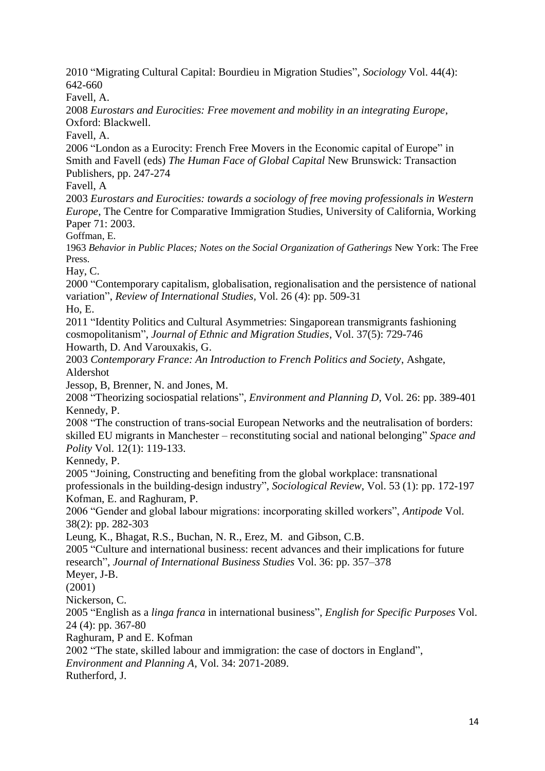2010 "Migrating Cultural Capital: Bourdieu in Migration Studies", *Sociology* Vol. 44(4): 642-660

Favell, A.

2008 *Eurostars and Eurocities: Free movement and mobility in an integrating Europe*, Oxford: Blackwell.

Favell, A.

2006 "London as a Eurocity: French Free Movers in the Economic capital of Europe" in Smith and Favell (eds) *The Human Face of Global Capital* New Brunswick: Transaction Publishers, pp. 247-274

Favell, A

2003 *Eurostars and Eurocities: towards a sociology of free moving professionals in Western Europe*, The Centre for Comparative Immigration Studies, University of California, Working Paper 71: 2003.

Goffman, E.

1963 *Behavior in Public Places; Notes on the Social Organization of Gatherings* New York: The Free Press.

Hay, C.

2000 "Contemporary capitalism, globalisation, regionalisation and the persistence of national variation", *Review of International Studies,* Vol. 26 (4): pp. 509-31

Ho, E.

2011 "Identity Politics and Cultural Asymmetries: Singaporean transmigrants fashioning cosmopolitanism", *Journal of Ethnic and Migration Studies*, Vol. 37(5): 729-746 Howarth, D. And Varouxakis, G.

2003 *Contemporary France: An Introduction to French Politics and Society*, Ashgate,

Aldershot

Jessop, B, Brenner, N. and Jones, M.

2008 "Theorizing sociospatial relations", *Environment and Planning D,* Vol. 26: pp. 389-401 Kennedy, P.

2008 "The construction of trans-social European Networks and the neutralisation of borders: skilled EU migrants in Manchester – reconstituting social and national belonging" *Space and Polity* Vol. 12(1): 119-133.

Kennedy, P.

2005 "Joining, Constructing and benefiting from the global workplace: transnational professionals in the building-design industry", *Sociological Review*, Vol. 53 (1): pp. 172-197 Kofman, E. and Raghuram, P.

2006 "Gender and global labour migrations: incorporating skilled workers", *Antipode* Vol. 38(2): pp. 282-303

Leung, K., Bhagat, R.S., Buchan, N. R., Erez, M. and Gibson, C.B.

2005 "Culture and international business: recent advances and their implications for future research", *Journal of International Business Studies* Vol. 36: pp. 357–378

Meyer, J-B.

(2001)

Nickerson, C.

2005 "English as a *linga franca* in international business", *English for Specific Purposes* Vol. 24 (4): pp. 367-80

Raghuram, P and E. Kofman

2002 "The state, skilled labour and immigration: the case of doctors in England",

*Environment and Planning A,* Vol. 34: 2071-2089.

Rutherford, J.